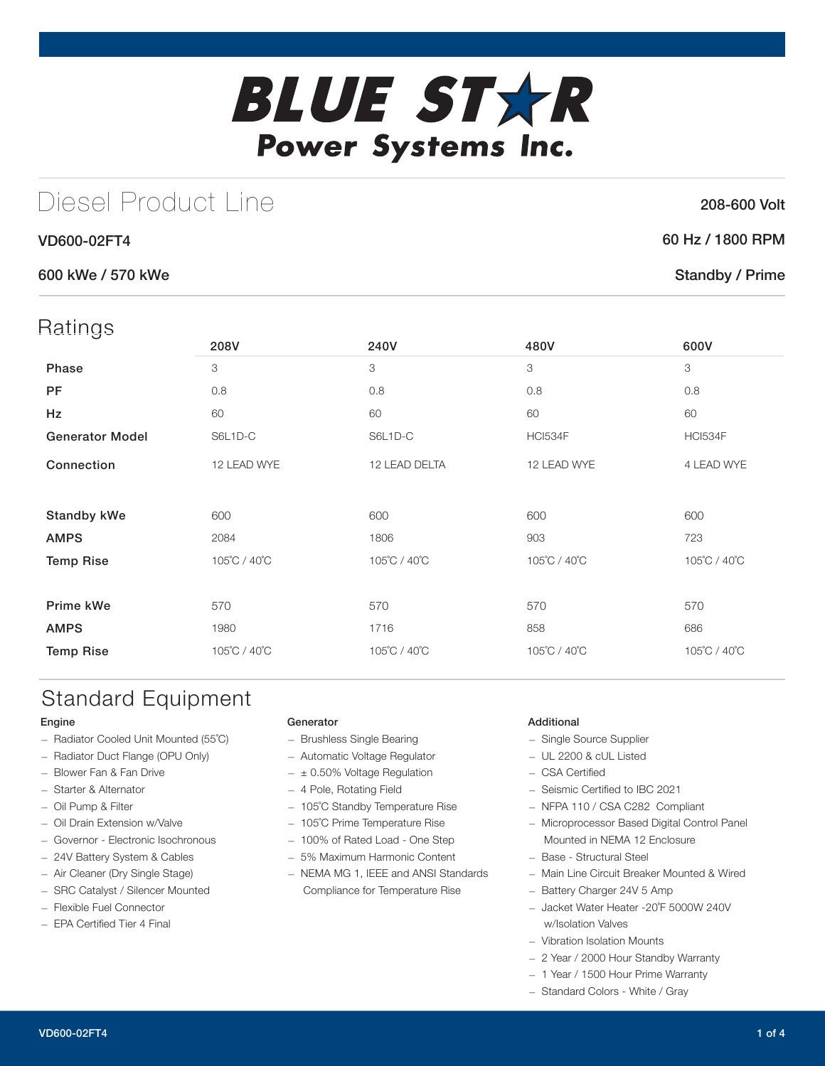# **BLUE STXR** Power Systems Inc.

# Diesel Product Line

#### VD600-02FT4

#### 600 kWe / 570 kWe

| Ratings                |              |               |                |                           |
|------------------------|--------------|---------------|----------------|---------------------------|
|                        | 208V         | 240V          | 480V           | 600V                      |
| Phase                  | 3            | 3             | 3              | $\ensuremath{\mathsf{3}}$ |
| PF                     | 0.8          | 0.8           | 0.8            | 0.8                       |
| Hz                     | 60           | 60            | 60             | 60                        |
| <b>Generator Model</b> | S6L1D-C      | S6L1D-C       | <b>HCI534F</b> | <b>HCI534F</b>            |
| Connection             | 12 LEAD WYE  | 12 LEAD DELTA | 12 LEAD WYE    | 4 LEAD WYE                |
|                        |              |               |                |                           |
| <b>Standby kWe</b>     | 600          | 600           | 600            | 600                       |
| <b>AMPS</b>            | 2084         | 1806          | 903            | 723                       |
| <b>Temp Rise</b>       | 105°C / 40°C | 105°C / 40°C  | 105°C / 40°C   | 105°C / 40°C              |
|                        |              |               |                |                           |
| Prime kWe              | 570          | 570           | 570            | 570                       |
| <b>AMPS</b>            | 1980         | 1716          | 858            | 686                       |
| <b>Temp Rise</b>       | 105°C / 40°C | 105°C / 40°C  | 105°C / 40°C   | 105°C / 40°C              |
|                        |              |               |                |                           |

# Standard Equipment

#### Engine

- Radiator Cooled Unit Mounted (55˚C)
- Radiator Duct Flange (OPU Only)
- Blower Fan & Fan Drive
- Starter & Alternator
- Oil Pump & Filter
- Oil Drain Extension w/Valve
- Governor Electronic Isochronous
- 24V Battery System & Cables
- Air Cleaner (Dry Single Stage)
- SRC Catalyst / Silencer Mounted
- Flexible Fuel Connector
- EPA Certified Tier 4 Final

#### Generator

- Brushless Single Bearing
- Automatic Voltage Regulator
- $-$  ± 0.50% Voltage Regulation
- 4 Pole, Rotating Field
- 105˚C Standby Temperature Rise
- 105˚C Prime Temperature Rise
- 100% of Rated Load One Step
- 5% Maximum Harmonic Content
- NEMA MG 1, IEEE and ANSI Standards Compliance for Temperature Rise

#### Additional

- Single Source Supplier
- UL 2200 & cUL Listed
- CSA Certified
- Seismic Certified to IBC 2021
- NFPA 110 / CSA C282 Compliant
- Microprocessor Based Digital Control Panel Mounted in NEMA 12 Enclosure
- Base Structural Steel
- Main Line Circuit Breaker Mounted & Wired
- Battery Charger 24V 5 Amp
- Jacket Water Heater -20˚F 5000W 240V w/Isolation Valves
- Vibration Isolation Mounts
- 2 Year / 2000 Hour Standby Warranty
- 1 Year / 1500 Hour Prime Warranty
- Standard Colors White / Gray

60 Hz / 1800 RPM

#### Standby / Prime

208-600 Volt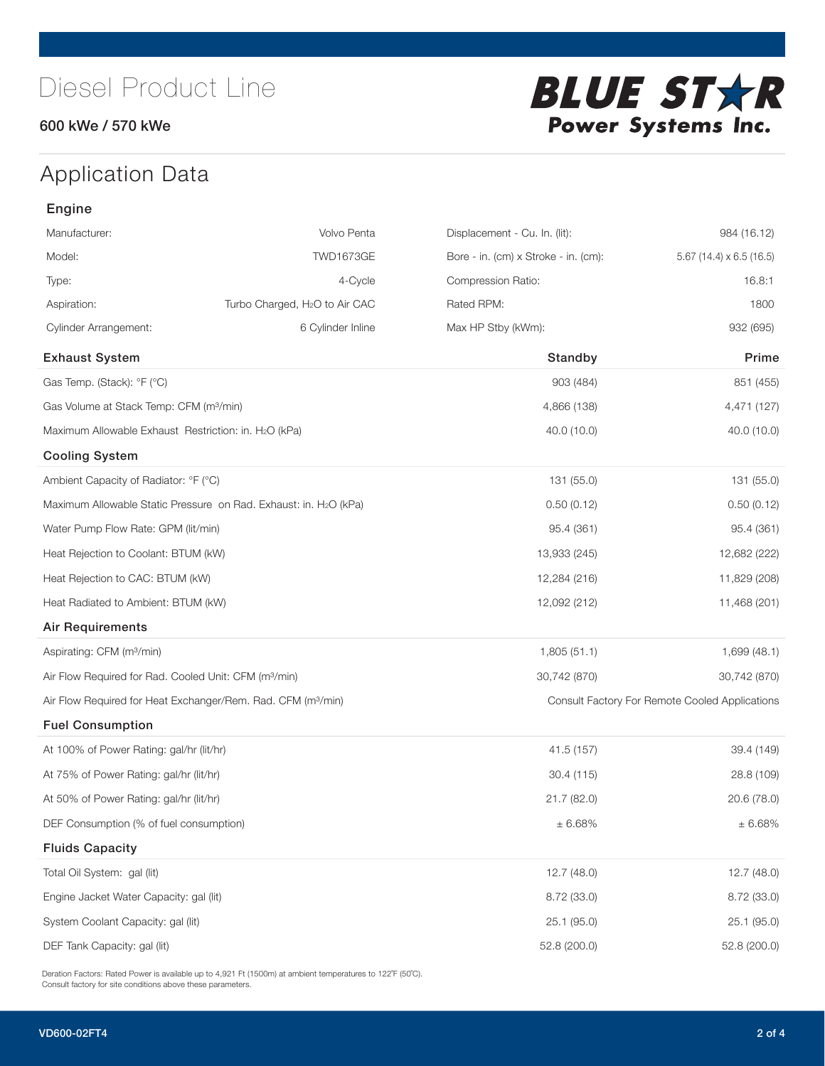#### 600 kWe / 570 kWe



# Application Data

| Engine                                                            |                                                                          |                                      |                                                |
|-------------------------------------------------------------------|--------------------------------------------------------------------------|--------------------------------------|------------------------------------------------|
| Manufacturer:                                                     | Volvo Penta                                                              | Displacement - Cu. In. (lit):        | 984 (16.12)                                    |
| Model:                                                            | <b>TWD1673GE</b>                                                         | Bore - in. (cm) x Stroke - in. (cm): | 5.67 (14.4) $\times$ 6.5 (16.5)                |
| Type:                                                             | 4-Cycle                                                                  | Compression Ratio:                   | 16.8:1                                         |
| Aspiration:                                                       | Turbo Charged, H <sub>2</sub> O to Air CAC                               | Rated RPM:                           | 1800                                           |
| <b>Cylinder Arrangement:</b>                                      | 6 Cylinder Inline                                                        | Max HP Stby (kWm):                   | 932 (695)                                      |
| <b>Exhaust System</b>                                             |                                                                          | Standby                              | Prime                                          |
| Gas Temp. (Stack): °F (°C)                                        |                                                                          | 903 (484)                            | 851 (455)                                      |
| Gas Volume at Stack Temp: CFM (m <sup>3</sup> /min)               |                                                                          | 4,866 (138)                          | 4,471 (127)                                    |
| Maximum Allowable Exhaust Restriction: in. H2O (kPa)              |                                                                          | 40.0 (10.0)                          | 40.0 (10.0)                                    |
| <b>Cooling System</b>                                             |                                                                          |                                      |                                                |
| Ambient Capacity of Radiator: °F (°C)                             |                                                                          | 131 (55.0)                           | 131 (55.0)                                     |
|                                                                   | Maximum Allowable Static Pressure on Rad. Exhaust: in. H2O (kPa)         | 0.50(0.12)                           | 0.50(0.12)                                     |
| Water Pump Flow Rate: GPM (lit/min)                               |                                                                          | 95.4 (361)                           | 95.4 (361)                                     |
| Heat Rejection to Coolant: BTUM (kW)                              |                                                                          | 13,933 (245)                         | 12,682 (222)                                   |
| Heat Rejection to CAC: BTUM (kW)                                  |                                                                          | 12,284 (216)                         | 11,829 (208)                                   |
| Heat Radiated to Ambient: BTUM (kW)                               |                                                                          | 12,092 (212)                         | 11,468 (201)                                   |
| <b>Air Requirements</b>                                           |                                                                          |                                      |                                                |
| Aspirating: CFM (m <sup>3</sup> /min)                             |                                                                          | 1,805(51.1)                          | 1,699 (48.1)                                   |
| Air Flow Required for Rad. Cooled Unit: CFM (m <sup>3</sup> /min) |                                                                          | 30,742 (870)                         | 30,742 (870)                                   |
|                                                                   | Air Flow Required for Heat Exchanger/Rem. Rad. CFM (m <sup>3</sup> /min) |                                      | Consult Factory For Remote Cooled Applications |
| <b>Fuel Consumption</b>                                           |                                                                          |                                      |                                                |
| At 100% of Power Rating: gal/hr (lit/hr)                          |                                                                          | 41.5 (157)                           | 39.4 (149)                                     |
| At 75% of Power Rating: gal/hr (lit/hr)                           |                                                                          | 30.4 (115)                           | 28.8 (109)                                     |
| At 50% of Power Rating: gal/hr (lit/hr)                           |                                                                          | 21.7 (82.0)                          | 20.6 (78.0)                                    |
| DEF Consumption (% of fuel consumption)                           |                                                                          | $\pm$ 6.68%                          | ± 6.68%                                        |
| <b>Fluids Capacity</b>                                            |                                                                          |                                      |                                                |
| Total Oil System: gal (lit)                                       |                                                                          | 12.7(48.0)                           | 12.7(48.0)                                     |
| Engine Jacket Water Capacity: gal (lit)                           |                                                                          | 8.72(33.0)                           | 8.72 (33.0)                                    |
| System Coolant Capacity: gal (lit)                                |                                                                          | 25.1(95.0)                           | 25.1 (95.0)                                    |
| DEF Tank Capacity: gal (lit)                                      |                                                                          | 52.8 (200.0)                         | 52.8 (200.0)                                   |

Deration Factors: Rated Power is available up to 4,921 Ft (1500m) at ambient temperatures to 122°F (50°C). Consult factory for site conditions above these parameters.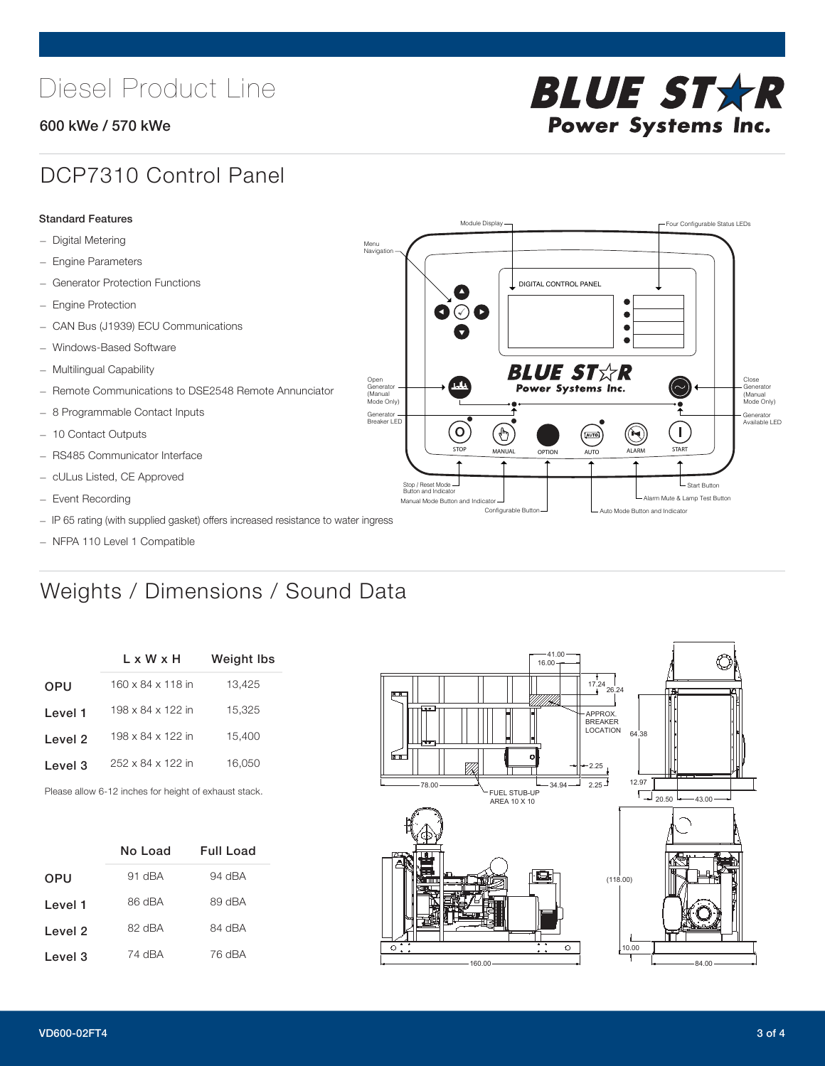# Diesel Product Line

#### 600 kWe / 570 kWe



### DCP7310 Control Panel

#### Standard Features

- Digital Metering
- Engine Parameters
- Generator Protection Functions
- Engine Protection
- CAN Bus (J1939) ECU Communications
- Windows-Based Software
- Multilingual Capability
- Remote Communications to DSE2548 Remote Annunciator
- 8 Programmable Contact Inputs
- 10 Contact Outputs
- RS485 Communicator Interface
- cULus Listed, CE Approved
- Event Recording
- IP 65 rating (with supplied gasket) offers increased resistance to water ingress
- NFPA 110 Level 1 Compatible

# Weights / Dimensions / Sound Data

|            | L x W x H         | <b>Weight lbs</b> |  |  |
|------------|-------------------|-------------------|--|--|
| <b>OPU</b> | 160 x 84 x 118 in | 13,425            |  |  |
| Level 1    | 198 x 84 x 122 in | 15,325            |  |  |
| Level 2    | 198 x 84 x 122 in | 15.400            |  |  |
| Level 3    | 252 x 84 x 122 in | 16.050            |  |  |
|            |                   |                   |  |  |

Please allow 6-12 inches for height of exhaust stack.

|            | No Load | Full Load |
|------------|---------|-----------|
| <b>OPU</b> | 91 dBA  | 94 dBA    |
| Level 1    | 86 dBA  | 89 dBA    |
| Level 2    | 82 dBA  | 84 dBA    |
| Level 3    | 74 dBA  | 76 dBA    |



STOP MANUAL OPTION AUTO ALARM START

[AUTO]

**BLUE STAR** Power Systems Inc.

Manual Mode Button and Indicator United States and Indicator United States and Indicator United States and Indicator United States and Indicator United States and Indicator United States and Indicator United States and Ind Configurable Button -  $\Box$  Auto Mode Button and Indicator

DIGITAL CONTROL PANEL

Module Display  $\Box$ 

 $\bullet$  $\bullet$  $\bullet$ 

 $\circledcirc$ 

Menu Navigation

Open Generator (Manual Mode Only)

Generator Breaker LED

Stop / Reset Mode Button and Indicator

 $\bullet$   $\circ$   $\bullet$ 

 $\sigma$ 

 $\mathbf{r}$ 

Close Generator (Manual Mode Only)

Generator Available LED

L Start Button

 $\blacksquare$